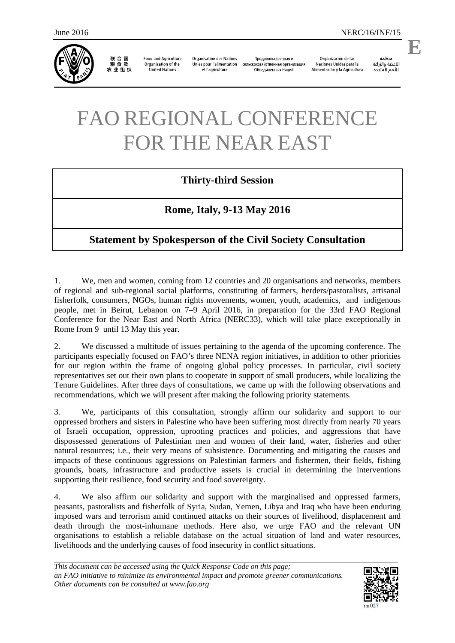

联合国<br>粮食及 农业组织

**Food and Agriculture** Organization of the **United Nations** 

**Organisation des Nations** Unies pour l'alimentation et l'agriculture

Продовольственная и сельскохозяйственная организация Объелиненных Наций

Organización de las Naciones Unidas para la Alimentación y la Agricultura

منظمة الأغذية والزراعة للأمم المتحدة

## FAO REGIONAL CONFERENCE FOR THE NEAR EAST

## **Thirty-third Session**

## **Rome, Italy, 9-13 May 2016**

## **Statement by Spokesperson of the Civil Society Consultation**

1. We, men and women, coming from 12 countries and 20 organisations and networks, members of regional and sub-regional social platforms, constituting of farmers, herders/pastoralists, artisanal fisherfolk, consumers, NGOs, human rights movements, women, youth, academics, and indigenous people, met in Beirut, Lebanon on 7–9 April 2016, in preparation for the 33rd FAO Regional Conference for the Near East and North Africa (NERC33), which will take place exceptionally in Rome from 9 until 13 May this year.

2. We discussed a multitude of issues pertaining to the agenda of the upcoming conference. The participants especially focused on FAO's three NENA region initiatives, in addition to other priorities for our region within the frame of ongoing global policy processes. In particular, civil society representatives set out their own plans to cooperate in support of small producers, while localizing the Tenure Guidelines. After three days of consultations, we came up with the following observations and recommendations, which we will present after making the following priority statements.

3. We, participants of this consultation, strongly affirm our solidarity and support to our oppressed brothers and sisters in Palestine who have been suffering most directly from nearly 70 years of Israeli occupation, oppression, uprooting practices and policies, and aggressions that have dispossessed generations of Palestinian men and women of their land, water, fisheries and other natural resources; i.e., their very means of subsistence. Documenting and mitigating the causes and impacts of these continuous aggressions on Palestinian farmers and fishermen, their fields, fishing grounds, boats, infrastructure and productive assets is crucial in determining the interventions supporting their resilience, food security and food sovereignty.

4. We also affirm our solidarity and support with the marginalised and oppressed farmers, peasants, pastoralists and fisherfolk of Syria, Sudan, Yemen, Libya and Iraq who have been enduring imposed wars and terrorism amid continued attacks on their sources of livelihood, displacement and death through the most-inhumane methods. Here also, we urge FAO and the relevant UN organisations to establish a reliable database on the actual situation of land and water resources, livelihoods and the underlying causes of food insecurity in conflict situations.

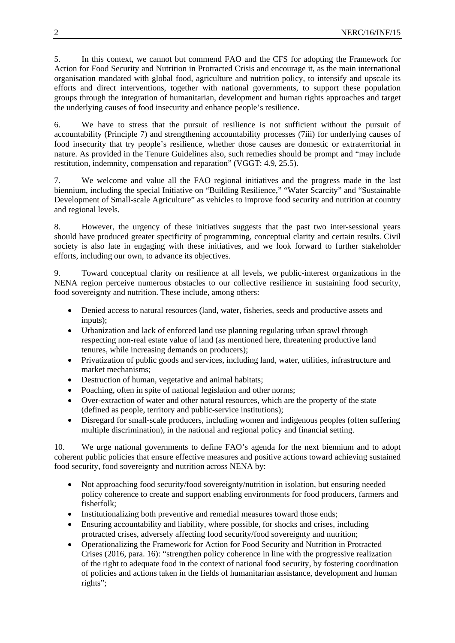5. In this context, we cannot but commend FAO and the CFS for adopting the Framework for Action for Food Security and Nutrition in Protracted Crisis and encourage it, as the main international organisation mandated with global food, agriculture and nutrition policy, to intensify and upscale its efforts and direct interventions, together with national governments, to support these population groups through the integration of humanitarian, development and human rights approaches and target the underlying causes of food insecurity and enhance people's resilience.

6. We have to stress that the pursuit of resilience is not sufficient without the pursuit of accountability (Principle 7) and strengthening accountability processes (7iii) for underlying causes of food insecurity that try people's resilience, whether those causes are domestic or extraterritorial in nature. As provided in the Tenure Guidelines also, such remedies should be prompt and "may include restitution, indemnity, compensation and reparation" (VGGT: 4.9, 25.5).

7. We welcome and value all the FAO regional initiatives and the progress made in the last biennium, including the special Initiative on "Building Resilience," "Water Scarcity" and "Sustainable Development of Small-scale Agriculture" as vehicles to improve food security and nutrition at country and regional levels.

8. However, the urgency of these initiatives suggests that the past two inter-sessional years should have produced greater specificity of programming, conceptual clarity and certain results. Civil society is also late in engaging with these initiatives, and we look forward to further stakeholder efforts, including our own, to advance its objectives.

9. Toward conceptual clarity on resilience at all levels, we public-interest organizations in the NENA region perceive numerous obstacles to our collective resilience in sustaining food security, food sovereignty and nutrition. These include, among others:

- Denied access to natural resources (land, water, fisheries, seeds and productive assets and inputs);
- Urbanization and lack of enforced land use planning regulating urban sprawl through respecting non-real estate value of land (as mentioned here, threatening productive land tenures, while increasing demands on producers);
- Privatization of public goods and services, including land, water, utilities, infrastructure and market mechanisms;
- Destruction of human, vegetative and animal habitats;
- Poaching, often in spite of national legislation and other norms;
- Over-extraction of water and other natural resources, which are the property of the state (defined as people, territory and public-service institutions);
- Disregard for small-scale producers, including women and indigenous peoples (often suffering multiple discrimination), in the national and regional policy and financial setting.

10. We urge national governments to define FAO's agenda for the next biennium and to adopt coherent public policies that ensure effective measures and positive actions toward achieving sustained food security, food sovereignty and nutrition across NENA by:

- Not approaching food security/food sovereignty/nutrition in isolation, but ensuring needed policy coherence to create and support enabling environments for food producers, farmers and fisherfolk;
- Institutionalizing both preventive and remedial measures toward those ends;
- Ensuring accountability and liability, where possible, for shocks and crises, including protracted crises, adversely affecting food security/food sovereignty and nutrition;
- Operationalizing the Framework for Action for Food Security and Nutrition in Protracted Crises (2016, para. 16): "strengthen policy coherence in line with the progressive realization of the right to adequate food in the context of national food security, by fostering coordination of policies and actions taken in the fields of humanitarian assistance, development and human rights";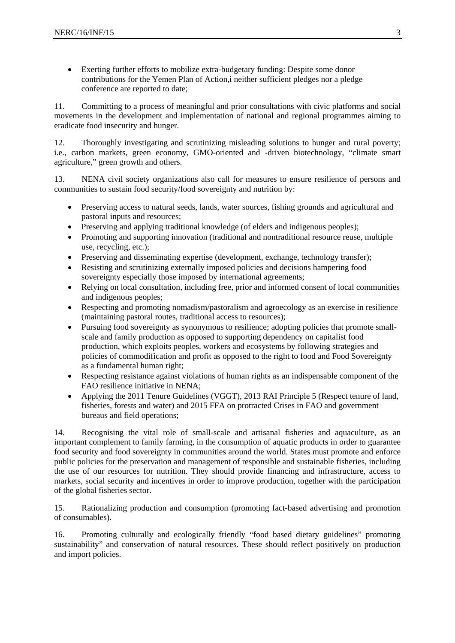Exerting further efforts to mobilize extra-budgetary funding: Despite some donor contributions for the Yemen Plan of Action,i neither sufficient pledges nor a pledge conference are reported to date;

11. Committing to a process of meaningful and prior consultations with civic platforms and social movements in the development and implementation of national and regional programmes aiming to eradicate food insecurity and hunger.

12. Thoroughly investigating and scrutinizing misleading solutions to hunger and rural poverty; i.e., carbon markets, green economy, GMO-oriented and -driven biotechnology, "climate smart agriculture," green growth and others.

13. NENA civil society organizations also call for measures to ensure resilience of persons and communities to sustain food security/food sovereignty and nutrition by:

- Preserving access to natural seeds, lands, water sources, fishing grounds and agricultural and pastoral inputs and resources;
- Preserving and applying traditional knowledge (of elders and indigenous peoples);
- Promoting and supporting innovation (traditional and nontraditional resource reuse, multiple use, recycling, etc.);
- Preserving and disseminating expertise (development, exchange, technology transfer);
- Resisting and scrutinizing externally imposed policies and decisions hampering food sovereignty especially those imposed by international agreements;
- Relying on local consultation, including free, prior and informed consent of local communities and indigenous peoples;
- Respecting and promoting nomadism/pastoralism and agroecology as an exercise in resilience (maintaining pastoral routes, traditional access to resources);
- Pursuing food sovereignty as synonymous to resilience; adopting policies that promote smallscale and family production as opposed to supporting dependency on capitalist food production, which exploits peoples, workers and ecosystems by following strategies and policies of commodification and profit as opposed to the right to food and Food Sovereignty as a fundamental human right;
- Respecting resistance against violations of human rights as an indispensable component of the FAO resilience initiative in NENA;
- Applying the 2011 Tenure Guidelines (VGGT), 2013 RAI Principle 5 (Respect tenure of land, fisheries, forests and water) and 2015 FFA on protracted Crises in FAO and government bureaus and field operations;

14. Recognising the vital role of small-scale and artisanal fisheries and aquaculture, as an important complement to family farming, in the consumption of aquatic products in order to guarantee food security and food sovereignty in communities around the world. States must promote and enforce public policies for the preservation and management of responsible and sustainable fisheries, including the use of our resources for nutrition. They should provide financing and infrastructure, access to markets, social security and incentives in order to improve production, together with the participation of the global fisheries sector.

15. Rationalizing production and consumption (promoting fact-based advertising and promotion of consumables).

16. Promoting culturally and ecologically friendly "food based dietary guidelines" promoting sustainability" and conservation of natural resources. These should reflect positively on production and import policies.